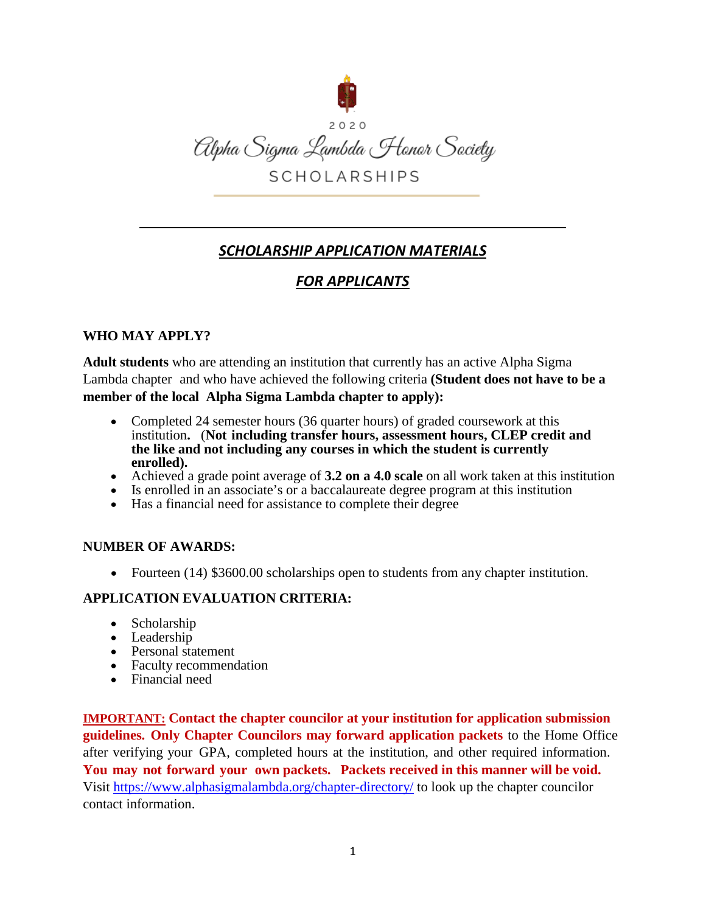

# *SCHOLARSHIP APPLICATION MATERIALS*

# *FOR APPLICANTS*

# **WHO MAY APPLY?**

**Adult students** who are attending an institution that currently has an active Alpha Sigma Lambda chapter and who have achieved the following criteria **(Student does not have to be a member of the local Alpha Sigma Lambda chapter to apply):**

- Completed 24 semester hours (36 quarter hours) of graded coursework at this institution**.** (**Not including transfer hours, assessment hours, CLEP credit and the like and not including any courses in which the student is currently**
- Achieved a grade point average of **3.2 on a 4.0 scale** on all work taken at this institution Is enrolled in an associate's or a baccalaureate degree program at this institution Has a financial need for assistance to
- 
- Has a financial need for assistance to complete their degree

## **NUMBER OF AWARDS:**

• Fourteen (14) \$3600.00 scholarships open to students from any chapter institution.

# **APPLICATION EVALUATION CRITERIA:**

- Scholarship
- Leadership
- Personal statement
- Faculty recommendation
- Financial need

**IMPORTANT: Contact the chapter councilor at your institution for application submission guidelines. Only Chapter Councilors may forward application packets** to the Home Office after verifying your GPA, completed hours at the institution, and other required information. **You may not forward your own packets. Packets received in this manner will be void.** Visit<https://www.alphasigmalambda.org/chapter-directory/>to look up the chapter councilor contact information.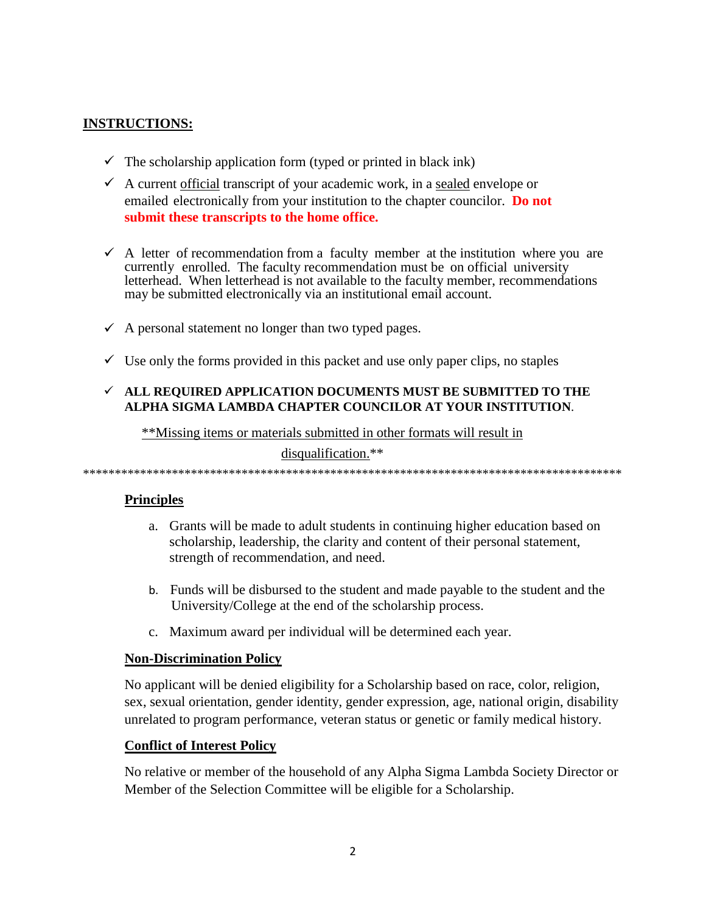## **INSTRUCTIONS:**

- $\checkmark$  The scholarship application form (typed or printed in black ink)
- $\checkmark$  A current <u>official</u> transcript of your academic work, in a sealed envelope or emailed electronically from your institution to the chapter councilor. **Do not submit these transcripts to the home office.**
- $\checkmark$  A letter of recommendation from a faculty member at the institution where you are currently enrolled. The faculty recommendation must be on official university letterhead. When letterhead is not available to the faculty member, recommendations may be submitted electronically via an institutional email account.
- $\checkmark$  A personal statement no longer than two typed pages.
- $\checkmark$  Use only the forms provided in this packet and use only paper clips, no staples

## **ALL REQUIRED APPLICATION DOCUMENTS MUST BE SUBMITTED TO THE ALPHA SIGMA LAMBDA CHAPTER COUNCILOR AT YOUR INSTITUTION**.

\*\*Missing items or materials submitted in other formats will result in

disqualification.\*\*

\*\*\*\*\*\*\*\*\*\*\*\*\*\*\*\*\*\*\*\*\*\*\*\*\*\*\*\*\*\*\*\*\*\*\*\*\*\*\*\*\*\*\*\*\*\*\*\*\*\*\*\*\*\*\*\*\*\*\*\*\*\*\*\*\*\*\*\*\*\*\*\*\*\*\*\*\*\*\*\*\*\*\*\*\*

## **Principles**

- a. Grants will be made to adult students in continuing higher education based on scholarship, leadership, the clarity and content of their personal statement, strength of recommendation, and need.
- b. Funds will be disbursed to the student and made payable to the student and the University/College at the end of the scholarship process.
- c. Maximum award per individual will be determined each year.

## **Non-Discrimination Policy**

No applicant will be denied eligibility for a Scholarship based on race, color, religion, sex, sexual orientation, gender identity, gender expression, age, national origin, disability unrelated to program performance, veteran status or genetic or family medical history.

## **Conflict of Interest Policy**

No relative or member of the household of any Alpha Sigma Lambda Society Director or Member of the Selection Committee will be eligible for a Scholarship.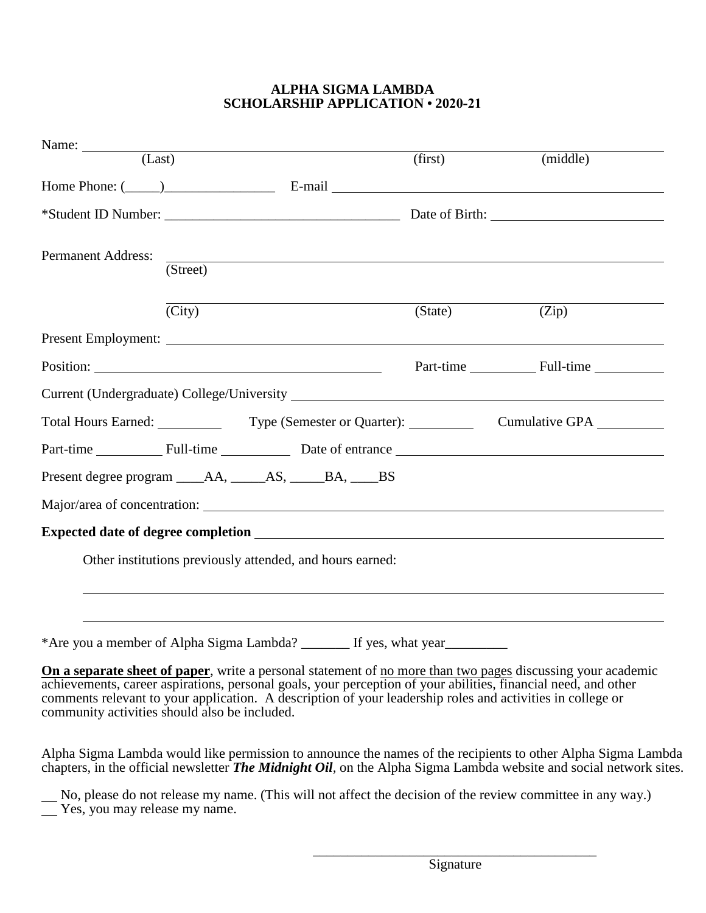#### **ALPHA SIGMA LAMBDA SCHOLARSHIP APPLICATION • 2020-21**

| Name: (Last)                                                                     |                              |                                                                                                                       | (first) | (middle)                                                                                                    |  |
|----------------------------------------------------------------------------------|------------------------------|-----------------------------------------------------------------------------------------------------------------------|---------|-------------------------------------------------------------------------------------------------------------|--|
| Home Phone: $(\_\_)$ E-mail $\_\_$ E-mail $\_\_$                                 |                              |                                                                                                                       |         |                                                                                                             |  |
|                                                                                  |                              |                                                                                                                       |         |                                                                                                             |  |
| Permanent Address:                                                               | $\overline{\text{(Street)}}$ | <u> 1989 - Johann Stoff, deutscher Stoff, der Stoff, der Stoff, der Stoff, der Stoff, der Stoff, der Stoff, der S</u> |         |                                                                                                             |  |
|                                                                                  | $\overline{\text{(City)}}$   |                                                                                                                       | (State) | (Zip)                                                                                                       |  |
|                                                                                  |                              |                                                                                                                       |         |                                                                                                             |  |
|                                                                                  |                              |                                                                                                                       |         | Part-time Full-time                                                                                         |  |
|                                                                                  |                              |                                                                                                                       |         |                                                                                                             |  |
|                                                                                  |                              |                                                                                                                       |         | Total Hours Earned: Type (Semester or Quarter): Cumulative GPA                                              |  |
|                                                                                  |                              |                                                                                                                       |         | Part-time Full-time Bull-time Bate of entrance                                                              |  |
|                                                                                  |                              |                                                                                                                       |         |                                                                                                             |  |
| Major/area of concentration:                                                     |                              |                                                                                                                       |         |                                                                                                             |  |
|                                                                                  |                              |                                                                                                                       |         |                                                                                                             |  |
| Other institutions previously attended, and hours earned:                        |                              |                                                                                                                       |         |                                                                                                             |  |
|                                                                                  |                              |                                                                                                                       |         |                                                                                                             |  |
|                                                                                  |                              |                                                                                                                       |         |                                                                                                             |  |
| *Are you a member of Alpha Sigma Lambda? ________ If yes, what year_____________ |                              |                                                                                                                       |         |                                                                                                             |  |
|                                                                                  |                              |                                                                                                                       |         | On a separate sheet of paper, write a personal statement of no more than two pages discussing your academic |  |

achievements, career aspirations, personal goals, your perception of your abilities, financial need, and other comments relevant to your application. A description of your leadership roles and activities in college or community activities should also be included.

Alpha Sigma Lambda would like permission to announce the names of the recipients to other Alpha Sigma Lambda chapters, in the official newsletter *The Midnight Oil,* on the Alpha Sigma Lambda website and social network sites.

 No, please do not release my name. (This will not affect the decision of the review committee in any way.)  $\overline{\phantom{0}}$ Yes, you may release my name.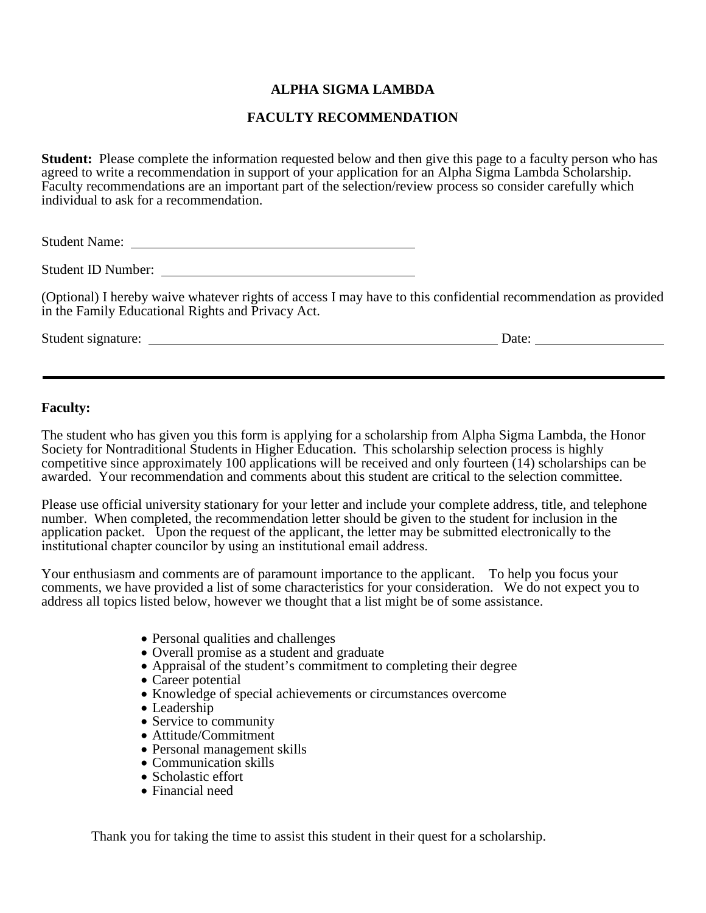## **ALPHA SIGMA LAMBDA**

#### **FACULTY RECOMMENDATION**

**Student:** Please complete the information requested below and then give this page to a faculty person who has agreed to write a recommendation in support of your application for an Alpha Sigma Lambda Scholarship. Faculty recommendations are an important part of the selection/review process so consider carefully which individual to ask for a recommendation.

Student Name:

(Optional) I hereby waive whatever rights of access I may have to this confidential recommendation as provided in the Family Educational Rights and Privacy Act.

Student signature: Date:

#### **Faculty:**

The student who has given you this form is applying for a scholarship from Alpha Sigma Lambda, the Honor Society for Nontraditional Students in Higher Education. This scholarship selection process is highly competitive since approximately 100 applications will be received and only fourteen (14) scholarships can be awarded. Your recommendation and comments about this student are critical to the selection committee.

Please use official university stationary for your letter and include your complete address, title, and telephone number. When completed, the recommendation letter should be given to the student for inclusion in the application packet. Upon the request of the applicant, the letter may be submitted electronically to the institutional chapter council[or by using an institu](mailto:alsiglam@eiu.edu)tional email address.

Your enthusiasm and comments are of paramount importance to the applicant. To help you focus your comments, we have provided a list of some characteristics for your consideration. We do not expect you to address all topics listed below, however we thought that a list might be of some assistance.

- Personal qualities and challenges
- Overall promise as a student and graduate
- Appraisal of the student's commitment to completing their degree
- Career potential
- Knowledge of special achievements or circumstances overcome
- Leadership
- Service to community
- Attitude/Commitment
- Personal management skills
- Communication skills
- Scholastic effort
- Financial need

Thank you for taking the time to assist this student in their quest for a scholarship.